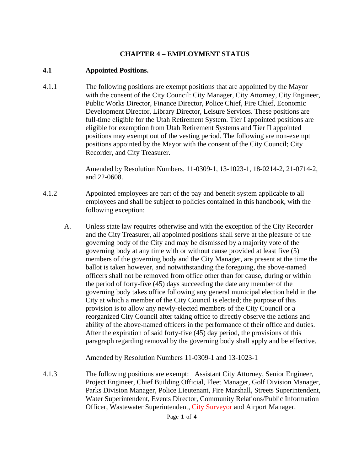## **CHAPTER 4 – EMPLOYMENT STATUS**

### **4.1 Appointed Positions.**

4.1.1 The following positions are exempt positions that are appointed by the Mayor with the consent of the City Council: City Manager, City Attorney, City Engineer, Public Works Director, Finance Director, Police Chief, Fire Chief, Economic Development Director, Library Director, Leisure Services. These positions are full-time eligible for the Utah Retirement System. Tier I appointed positions are eligible for exemption from Utah Retirement Systems and Tier II appointed positions may exempt out of the vesting period. The following are non-exempt positions appointed by the Mayor with the consent of the City Council; City Recorder, and City Treasurer.

> Amended by Resolution Numbers. 11-0309-1, 13-1023-1, 18-0214-2, 21-0714-2, and 22-0608.

- 4.1.2 Appointed employees are part of the pay and benefit system applicable to all employees and shall be subject to policies contained in this handbook, with the following exception:
	- A. Unless state law requires otherwise and with the exception of the City Recorder and the City Treasurer, all appointed positions shall serve at the pleasure of the governing body of the City and may be dismissed by a majority vote of the governing body at any time with or without cause provided at least five (5) members of the governing body and the City Manager, are present at the time the ballot is taken however, and notwithstanding the foregoing, the above-named officers shall not be removed from office other than for cause, during or within the period of forty-five (45) days succeeding the date any member of the governing body takes office following any general municipal election held in the City at which a member of the City Council is elected; the purpose of this provision is to allow any newly-elected members of the City Council or a reorganized City Council after taking office to directly observe the actions and ability of the above-named officers in the performance of their office and duties. After the expiration of said forty-five (45) day period, the provisions of this paragraph regarding removal by the governing body shall apply and be effective.

Amended by Resolution Numbers 11-0309-1 and 13-1023-1

4.1.3 The following positions are exempt: Assistant City Attorney, Senior Engineer, Project Engineer, Chief Building Official, Fleet Manager, Golf Division Manager, Parks Division Manager, Police Lieutenant, Fire Marshall, Streets Superintendent, Water Superintendent, Events Director, Community Relations/Public Information Officer, Wastewater Superintendent, City Surveyor and Airport Manager.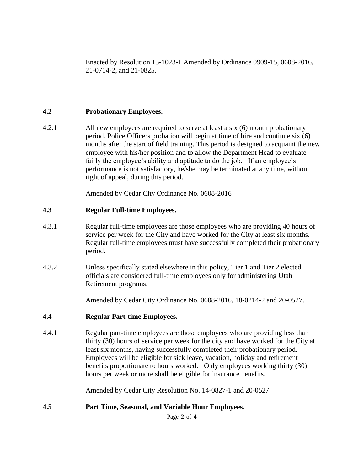Enacted by Resolution 13-1023-1 Amended by Ordinance 0909-15, 0608-2016, 21-0714-2, and 21-0825.

### **4.2 Probationary Employees.**

4.2.1 All new employees are required to serve at least a six (6) month probationary period. Police Officers probation will begin at time of hire and continue six (6) months after the start of field training. This period is designed to acquaint the new employee with his/her position and to allow the Department Head to evaluate fairly the employee's ability and aptitude to do the job. If an employee's performance is not satisfactory, he/she may be terminated at any time, without right of appeal, during this period.

Amended by Cedar City Ordinance No. 0608-2016

#### **4.3 Regular Full-time Employees.**

- 4.3.1 Regular full-time employees are those employees who are providing 40 hours of service per week for the City and have worked for the City at least six months. Regular full-time employees must have successfully completed their probationary period.
- 4.3.2 Unless specifically stated elsewhere in this policy, Tier 1 and Tier 2 elected officials are considered full-time employees only for administering Utah Retirement programs.

Amended by Cedar City Ordinance No. 0608-2016, 18-0214-2 and 20-0527.

#### **4.4 Regular Part-time Employees.**

4.4.1 Regular part-time employees are those employees who are providing less than thirty (30) hours of service per week for the city and have worked for the City at least six months, having successfully completed their probationary period. Employees will be eligible for sick leave, vacation, holiday and retirement benefits proportionate to hours worked. Only employees working thirty (30) hours per week or more shall be eligible for insurance benefits.

Amended by Cedar City Resolution No. 14-0827-1 and 20-0527.

#### **4.5 Part Time, Seasonal, and Variable Hour Employees.**

Page **2** of **4**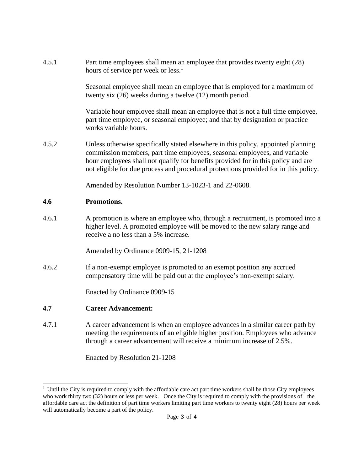| 4.5.1 | Part time employees shall mean an employee that provides twenty eight (28)<br>hours of service per week or less. <sup>1</sup>                                                                                                                                                                                                               |
|-------|---------------------------------------------------------------------------------------------------------------------------------------------------------------------------------------------------------------------------------------------------------------------------------------------------------------------------------------------|
|       | Seasonal employee shall mean an employee that is employed for a maximum of<br>twenty six $(26)$ weeks during a twelve $(12)$ month period.                                                                                                                                                                                                  |
|       | Variable hour employee shall mean an employee that is not a full time employee,<br>part time employee, or seasonal employee; and that by designation or practice<br>works variable hours.                                                                                                                                                   |
| 4.5.2 | Unless otherwise specifically stated elsewhere in this policy, appointed planning<br>commission members, part time employees, seasonal employees, and variable<br>hour employees shall not qualify for benefits provided for in this policy and are<br>not eligible for due process and procedural protections provided for in this policy. |
|       | Amended by Resolution Number 13-1023-1 and 22-0608.                                                                                                                                                                                                                                                                                         |
| 4.6   | Promotions.                                                                                                                                                                                                                                                                                                                                 |
| 4.6.1 | A promotion is where an employee who, through a recruitment, is promoted into a<br>higher level. A promoted employee will be moved to the new salary range and<br>receive a no less than a 5% increase.                                                                                                                                     |
|       | Amended by Ordinance 0909-15, 21-1208                                                                                                                                                                                                                                                                                                       |
| 4.6.2 | If a non-exempt employee is promoted to an exempt position any accrued<br>compensatory time will be paid out at the employee's non-exempt salary.                                                                                                                                                                                           |
|       | Enacted by Ordinance 0909-15                                                                                                                                                                                                                                                                                                                |
| 4.7   | <b>Career Advancement:</b>                                                                                                                                                                                                                                                                                                                  |

4.7.1 A career advancement is when an employee advances in a similar career path by meeting the requirements of an eligible higher position. Employees who advance through a career advancement will receive a minimum increase of 2.5%.

Enacted by Resolution 21-1208

<sup>&</sup>lt;sup>1</sup> Until the City is required to comply with the affordable care act part time workers shall be those City employees who work thirty two (32) hours or less per week. Once the City is required to comply with the provisions of the affordable care act the definition of part time workers limiting part time workers to twenty eight (28) hours per week will automatically become a part of the policy.